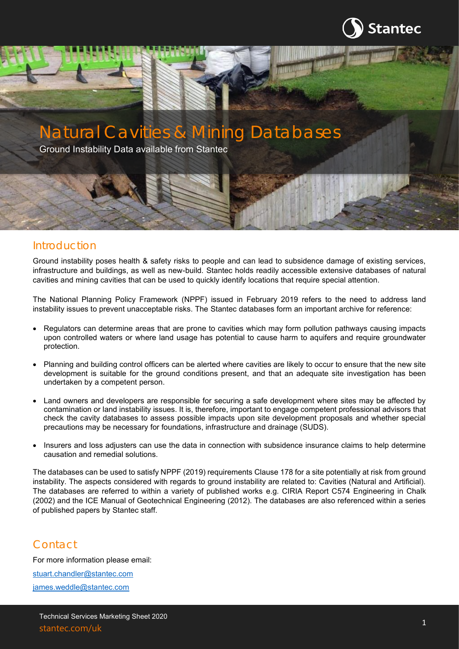

# Natural Cavities & Mining Databases

Ground Instability Data available from Stantec

## Introduction

Ground instability poses health & safety risks to people and can lead to subsidence damage of existing services, infrastructure and buildings, as well as new-build. Stantec holds readily accessible extensive databases of natural cavities and mining cavities that can be used to quickly identify locations that require special attention.

The National Planning Policy Framework (NPPF) issued in February 2019 refers to the need to address land instability issues to prevent unacceptable risks. The Stantec databases form an important archive for reference:

- Regulators can determine areas that are prone to cavities which may form pollution pathways causing impacts upon controlled waters or where land usage has potential to cause harm to aquifers and require groundwater protection.
- Planning and building control officers can be alerted where cavities are likely to occur to ensure that the new site development is suitable for the ground conditions present, and that an adequate site investigation has been undertaken by a competent person.
- Land owners and developers are responsible for securing a safe development where sites may be affected by contamination or land instability issues. It is, therefore, important to engage competent professional advisors that check the cavity databases to assess possible impacts upon site development proposals and whether special precautions may be necessary for foundations, infrastructure and drainage (SUDS).
- Insurers and loss adjusters can use the data in connection with subsidence insurance claims to help determine causation and remedial solutions.

The databases can be used to satisfy NPPF (2019) requirements Clause 178 for a site potentially at risk from ground instability. The aspects considered with regards to ground instability are related to: Cavities (Natural and Artificial). The databases are referred to within a variety of published works e.g. CIRIA Report C574 Engineering in Chalk (2002) and the ICE Manual of Geotechnical Engineering (2012). The databases are also referenced within a series of published papers by Stantec staff.

## Contact

For more information please email: [stuart.chandler@stantec.com](mailto:stuart.chandler@stantec.com) [james.weddle@stantec.com](mailto:james.weddle@stantec.com)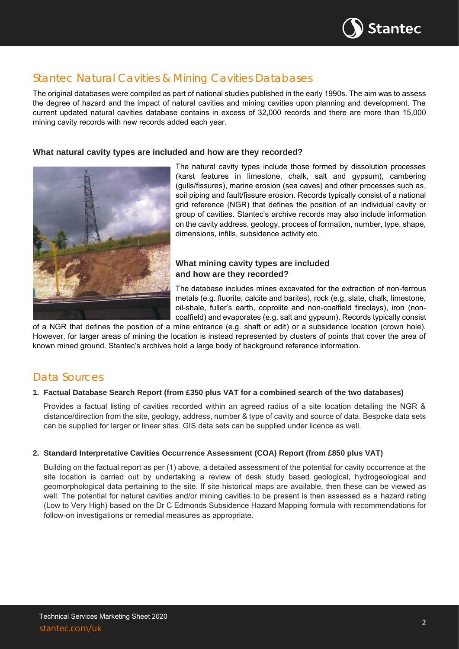

# Stantec Natural Cavities & Mining Cavities Databases

The original databases were compiled as part of national studies published in the early 1990s. The aim was to assess the degree of hazard and the impact of natural cavities and mining cavities upon planning and development. The current updated natural cavities database contains in excess of 32,000 records and there are more than 15,000 mining cavity records with new records added each year.

## **What natural cavity types are included and how are they recorded?**



The natural cavity types include those formed by dissolution processes (karst features in limestone, chalk, salt and gypsum), cambering (gulls/fissures), marine erosion (sea caves) and other processes such as, soil piping and fault/fissure erosion. Records typically consist of a national grid reference (NGR) that defines the position of an individual cavity or group of cavities. Stantec's archive records may also include information on the cavity address, geology, process of formation, number, type, shape, dimensions, infills, subsidence activity etc.

## **What mining cavity types are included and how are they recorded?**

The database includes mines excavated for the extraction of non-ferrous metals (e.g. fluorite, calcite and barites), rock (e.g. slate, chalk, limestone, oil-shale, fuller's earth, coprolite and non-coalfield fireclays), iron (noncoalfield) and evaporates (e.g. salt and gypsum). Records typically consist

of a NGR that defines the position of a mine entrance (e.g. shaft or adit) or a subsidence location (crown hole). However, for larger areas of mining the location is instead represented by clusters of points that cover the area of known mined ground. Stantec's archives hold a large body of background reference information.

## Data Sources

### **1. Factual Database Search Report (from £350 plus VAT for a combined search of the two databases)**

Provides a factual listing of cavities recorded within an agreed radius of a site location detailing the NGR & distance/direction from the site, geology, address, number & type of cavity and source of data. Bespoke data sets can be supplied for larger or linear sites. GIS data sets can be supplied under licence as well.

#### **2. Standard Interpretative Cavities Occurrence Assessment (COA) Report (from £850 plus VAT)**

Building on the factual report as per (1) above, a detailed assessment of the potential for cavity occurrence at the site location is carried out by undertaking a review of desk study based geological, hydrogeological and geomorphological data pertaining to the site. If site historical maps are available, then these can be viewed as well. The potential for natural cavities and/or mining cavities to be present is then assessed as a hazard rating (Low to Very High) based on the Dr C Edmonds Subsidence Hazard Mapping formula with recommendations for follow-on investigations or remedial measures as appropriate.